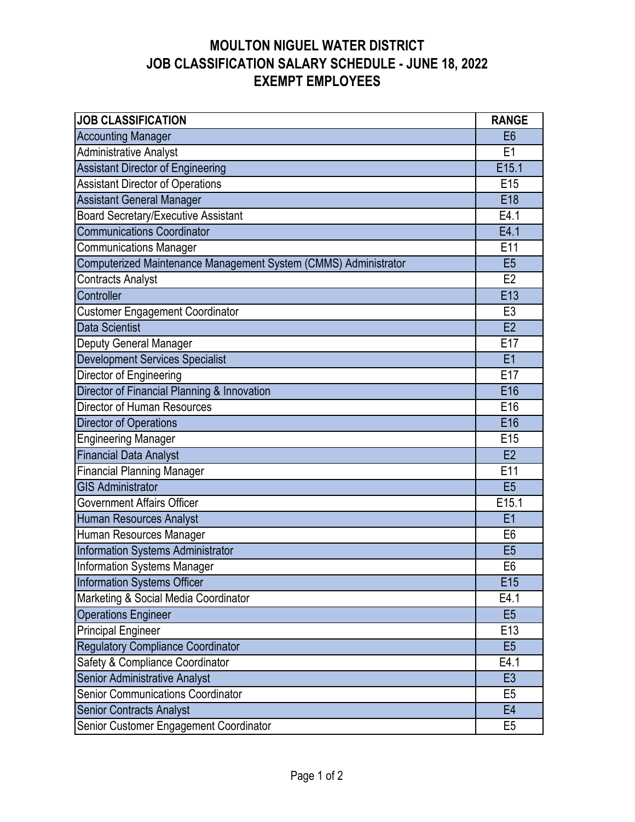| <b>JOB CLASSIFICATION</b>                                       | <b>RANGE</b>    |  |  |  |  |  |  |  |  |
|-----------------------------------------------------------------|-----------------|--|--|--|--|--|--|--|--|
| <b>Accounting Manager</b>                                       | E <sub>6</sub>  |  |  |  |  |  |  |  |  |
| <b>Administrative Analyst</b>                                   | E <sub>1</sub>  |  |  |  |  |  |  |  |  |
| <b>Assistant Director of Engineering</b>                        | E15.1           |  |  |  |  |  |  |  |  |
| <b>Assistant Director of Operations</b>                         | E <sub>15</sub> |  |  |  |  |  |  |  |  |
| <b>Assistant General Manager</b>                                | E18             |  |  |  |  |  |  |  |  |
| <b>Board Secretary/Executive Assistant</b>                      | E4.1            |  |  |  |  |  |  |  |  |
| <b>Communications Coordinator</b>                               | E4.1            |  |  |  |  |  |  |  |  |
| <b>Communications Manager</b>                                   | E11             |  |  |  |  |  |  |  |  |
| Computerized Maintenance Management System (CMMS) Administrator |                 |  |  |  |  |  |  |  |  |
| <b>Contracts Analyst</b>                                        |                 |  |  |  |  |  |  |  |  |
| Controller                                                      | E13             |  |  |  |  |  |  |  |  |
| <b>Customer Engagement Coordinator</b>                          | E <sub>3</sub>  |  |  |  |  |  |  |  |  |
| Data Scientist                                                  | E2              |  |  |  |  |  |  |  |  |
| Deputy General Manager                                          | E17             |  |  |  |  |  |  |  |  |
| <b>Development Services Specialist</b>                          | E1              |  |  |  |  |  |  |  |  |
| Director of Engineering                                         | E17             |  |  |  |  |  |  |  |  |
| Director of Financial Planning & Innovation                     | E16             |  |  |  |  |  |  |  |  |
| Director of Human Resources                                     |                 |  |  |  |  |  |  |  |  |
| Director of Operations                                          |                 |  |  |  |  |  |  |  |  |
| <b>Engineering Manager</b>                                      | E <sub>15</sub> |  |  |  |  |  |  |  |  |
| <b>Financial Data Analyst</b>                                   |                 |  |  |  |  |  |  |  |  |
| <b>Financial Planning Manager</b>                               |                 |  |  |  |  |  |  |  |  |
| <b>GIS Administrator</b>                                        |                 |  |  |  |  |  |  |  |  |
| Government Affairs Officer                                      | E15.1           |  |  |  |  |  |  |  |  |
| Human Resources Analyst                                         | E1              |  |  |  |  |  |  |  |  |
| Human Resources Manager                                         | E <sub>6</sub>  |  |  |  |  |  |  |  |  |
| <b>Information Systems Administrator</b>                        | E <sub>5</sub>  |  |  |  |  |  |  |  |  |
| <b>Information Systems Manager</b>                              | E <sub>6</sub>  |  |  |  |  |  |  |  |  |
| Information Systems Officer                                     | E15             |  |  |  |  |  |  |  |  |
| Marketing & Social Media Coordinator                            | E4.1            |  |  |  |  |  |  |  |  |
| <b>Operations Engineer</b>                                      | E <sub>5</sub>  |  |  |  |  |  |  |  |  |
| <b>Principal Engineer</b>                                       | E13             |  |  |  |  |  |  |  |  |
| <b>Regulatory Compliance Coordinator</b>                        | E <sub>5</sub>  |  |  |  |  |  |  |  |  |
| Safety & Compliance Coordinator                                 | E4.1            |  |  |  |  |  |  |  |  |
| Senior Administrative Analyst                                   | E <sub>3</sub>  |  |  |  |  |  |  |  |  |
| <b>Senior Communications Coordinator</b>                        | E <sub>5</sub>  |  |  |  |  |  |  |  |  |
| <b>Senior Contracts Analyst</b>                                 | E <sub>4</sub>  |  |  |  |  |  |  |  |  |
| Senior Customer Engagement Coordinator                          | E <sub>5</sub>  |  |  |  |  |  |  |  |  |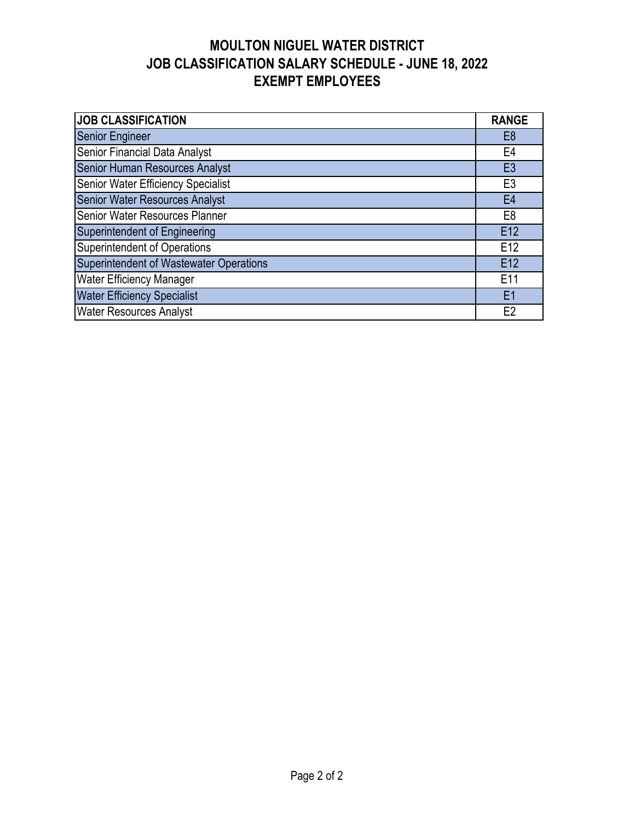| <b>JOB CLASSIFICATION</b>                      | <b>RANGE</b>   |  |  |  |  |  |  |  |
|------------------------------------------------|----------------|--|--|--|--|--|--|--|
| <b>Senior Engineer</b>                         | E <sub>8</sub> |  |  |  |  |  |  |  |
| Senior Financial Data Analyst                  | E4             |  |  |  |  |  |  |  |
| Senior Human Resources Analyst                 |                |  |  |  |  |  |  |  |
| Senior Water Efficiency Specialist             | E <sub>3</sub> |  |  |  |  |  |  |  |
| <b>Senior Water Resources Analyst</b>          |                |  |  |  |  |  |  |  |
| Senior Water Resources Planner                 |                |  |  |  |  |  |  |  |
| Superintendent of Engineering                  | E12            |  |  |  |  |  |  |  |
| Superintendent of Operations                   | E12            |  |  |  |  |  |  |  |
| <b>Superintendent of Wastewater Operations</b> | E12            |  |  |  |  |  |  |  |
| <b>Water Efficiency Manager</b>                | E11            |  |  |  |  |  |  |  |
| <b>Water Efficiency Specialist</b>             | E1             |  |  |  |  |  |  |  |
| <b>Water Resources Analyst</b>                 | E2             |  |  |  |  |  |  |  |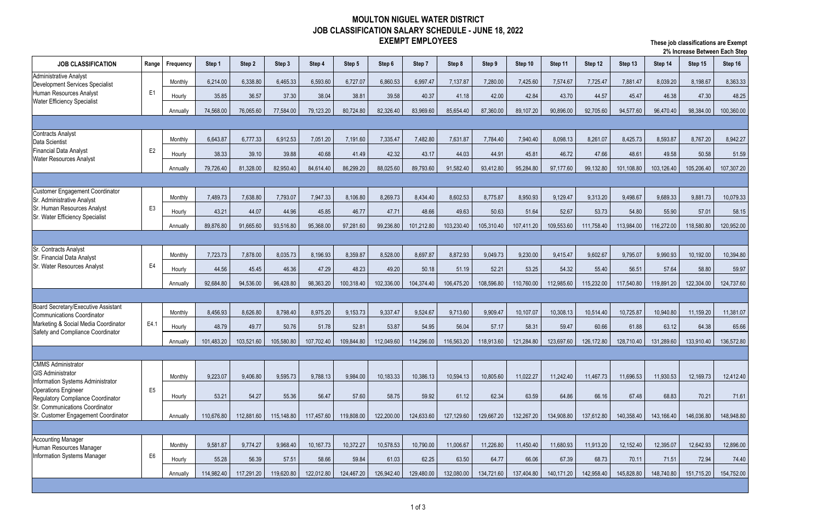| Z /0 IIIUI CASC DELWECH EAUN OLED                                                                                                 |                |           |            |            |            |            |            |            |            |            |            |            |            |            |            |            |            |            |
|-----------------------------------------------------------------------------------------------------------------------------------|----------------|-----------|------------|------------|------------|------------|------------|------------|------------|------------|------------|------------|------------|------------|------------|------------|------------|------------|
| <b>JOB CLASSIFICATION</b>                                                                                                         | Range          | Frequency | Step 1     | Step 2     | Step 3     | Step 4     | Step 5     | Step 6     | Step 7     | Step 8     | Step 9     | Step 10    | Step 11    | Step 12    | Step 13    | Step 14    | Step 15    | Step 16    |
| <b>Administrative Analyst</b><br>Development Services Specialist<br>Human Resources Analyst<br><b>Water Efficiency Specialist</b> |                | Monthly   | 6,214.00   | 6,338.80   | 6,465.33   | 6,593.60   | 6,727.07   | 6,860.53   | 6,997.47   | 7,137.87   | 7,280.00   | 7,425.60   | 7,574.67   | 7,725.47   | 7,881.47   | 8,039.20   | 8,198.67   | 8,363.33   |
|                                                                                                                                   | E <sub>1</sub> | Hourly    | 35.85      | 36.57      | 37.30      | 38.04      | 38.81      | 39.58      | 40.37      | 41.18      | 42.00      | 42.84      | 43.70      | 44.57      | 45.47      | 46.38      | 47.30      | 48.25      |
|                                                                                                                                   |                | Annually  | 74,568.00  | 76,065.60  | 77,584.00  | 79,123.20  | 80,724.80  | 82,326.40  | 83,969.60  | 85,654.40  | 87,360.00  | 89,107.20  | 90,896.00  | 92,705.60  | 94,577.60  | 96,470.40  | 98,384.00  | 100,360.00 |
|                                                                                                                                   |                |           |            |            |            |            |            |            |            |            |            |            |            |            |            |            |            |            |
| <b>Contracts Analyst</b><br>Data Scientist                                                                                        |                | Monthly   | 6,643.87   | 6,777.33   | 6,912.53   | 7,051.20   | 7,191.60   | 7,335.47   | 7,482.80   | 7,631.87   | 7,784.40   | 7,940.40   | 8,098.13   | 8,261.07   | 8,425.73   | 8,593.87   | 8,767.20   | 8,942.27   |
| <b>Financial Data Analyst</b>                                                                                                     | E <sub>2</sub> | Hourly    | 38.33      | 39.10      | 39.88      | 40.68      | 41.49      | 42.32      | 43.17      | 44.03      | 44.91      | 45.81      | 46.72      | 47.66      | 48.61      | 49.58      | 50.58      | 51.59      |
| <b>Water Resources Analyst</b>                                                                                                    |                | Annually  | 79,726.40  | 81,328.00  | 82,950.40  | 84,614.40  | 86,299.20  | 88,025.60  | 89,793.60  | 91,582.40  | 93,412.80  | 95,284.80  | 97,177.60  | 99,132.80  | 101,108.80 | 103,126.40 | 105,206.40 | 107,307.20 |
|                                                                                                                                   |                |           |            |            |            |            |            |            |            |            |            |            |            |            |            |            |            |            |
| <b>Customer Engagement Coordinator</b>                                                                                            |                | Monthly   | 7,489.73   | 7,638.80   | 7,793.07   | 7,947.33   | 8,106.80   | 8,269.73   | 8,434.40   | 8,602.53   | 8,775.87   | 8,950.93   | 9,129.47   | 9,313.20   | 9,498.67   | 9,689.33   | 9,881.73   | 10,079.33  |
| Sr. Administrative Analyst<br>Sr. Human Resources Analyst                                                                         | E <sub>3</sub> | Hourly    | 43.21      | 44.07      | 44.96      | 45.85      | 46.77      | 47.71      | 48.66      | 49.63      | 50.63      | 51.64      | 52.67      | 53.73      | 54.80      | 55.90      | 57.01      | 58.15      |
| Sr. Water Efficiency Specialist                                                                                                   |                | Annually  | 89,876.80  | 91,665.60  | 93,516.80  | 95,368.00  | 97,281.60  | 99,236.80  | 101,212.80 | 103,230.40 | 105,310.40 | 107,411.20 | 109,553.60 | 111,758.40 | 113,984.00 | 116,272.00 | 118,580.80 | 120,952.00 |
|                                                                                                                                   |                |           |            |            |            |            |            |            |            |            |            |            |            |            |            |            |            |            |
| Sr. Contracts Analyst<br>Sr. Financial Data Analyst<br>Sr. Water Resources Analyst                                                |                | Monthly   | 7,723.73   | 7,878.00   | 8,035.73   | 8,196.93   | 8,359.87   | 8,528.00   | 8,697.87   | 8,872.93   | 9,049.73   | 9,230.00   | 9,415.47   | 9,602.67   | 9,795.07   | 9,990.93   | 10,192.00  | 10,394.80  |
|                                                                                                                                   | E4             | Hourly    | 44.56      | 45.45      | 46.36      | 47.29      | 48.23      | 49.20      | 50.18      | 51.19      | 52.21      | 53.25      | 54.32      | 55.40      | 56.51      | 57.64      | 58.80      | 59.97      |
|                                                                                                                                   |                | Annually  | 92,684.80  | 94,536.00  | 96,428.80  | 98,363.20  | 100,318.40 | 102,336.00 | 104,374.40 | 106,475.20 | 108,596.80 | 110,760.00 | 112,985.60 | 115,232.00 | 117,540.80 | 119,891.20 | 122,304.00 | 124,737.60 |
|                                                                                                                                   |                |           |            |            |            |            |            |            |            |            |            |            |            |            |            |            |            |            |
| Board Secretary/Executive Assistant                                                                                               |                | Monthly   | 8,456.93   | 8,626.80   | 8,798.40   | 8,975.20   | 9,153.73   | 9,337.47   | 9,524.67   | 9,713.60   | 9,909.47   | 10,107.07  | 10,308.13  | 10,514.40  | 10,725.87  | 10,940.80  | 11,159.20  | 11,381.07  |
| Communications Coordinator<br>Marketing & Social Media Coordinator                                                                | E4.1           | Hourly    | 48.79      | 49.77      | 50.76      | 51.78      | 52.81      | 53.87      | 54.95      | 56.04      | 57.17      | 58.31      | 59.47      | 60.66      | 61.88      | 63.12      | 64.38      | 65.66      |
| Safety and Compliance Coordinator                                                                                                 |                | Annually  | 101,483.20 | 103,521.60 | 105,580.80 | 107,702.40 | 109,844.80 | 112,049.60 | 114,296.00 | 116,563.20 | 118,913.60 | 121,284.80 | 123,697.60 | 126,172.80 | 128,710.40 | 131,289.60 | 133,910.40 | 136,572.80 |
|                                                                                                                                   |                |           |            |            |            |            |            |            |            |            |            |            |            |            |            |            |            |            |
| <b>CMMS Administrator</b>                                                                                                         |                |           |            |            |            |            |            |            |            |            |            |            |            |            |            |            |            |            |
| <b>GIS Administrator</b><br>Information Systems Administrator                                                                     |                | Monthly   | 9,223.07   | 9,406.80   | 9,595.73   | 9,788.13   | 9,984.00   | 10,183.33  | 10,386.13  | 10,594.13  | 10,805.60  | 11,022.27  | 11,242.40  | 11,467.73  | 11,696.53  | 11,930.53  | 12,169.73  | 12,412.40  |
| <b>Operations Engineer</b><br>Regulatory Compliance Coordinator                                                                   | E <sub>5</sub> | Hourly    | 53.21      | 54.27      | 55.36      | 56.47      | 57.60      | 58.75      | 59.92      | 61.12      | 62.34      | 63.59      | 64.86      | 66.16      | 67.48      | 68.83      | 70.21      | 71.61      |
| Sr. Communications Coordinator                                                                                                    |                |           |            |            |            |            |            |            |            |            |            |            |            |            |            |            |            |            |
| Sr. Customer Engagement Coordinator                                                                                               |                | Annually  | 110,676.80 | 112,881.60 | 115,148.80 | 117,457.60 | 119,808.00 | 122,200.00 | 124,633.60 | 127,129.60 | 129,667.20 | 132,267.20 | 134,908.80 | 137,612.80 | 140,358.40 | 143,166.40 | 146,036.80 | 148,948.80 |
| <b>Accounting Manager</b>                                                                                                         |                |           |            |            |            |            |            |            |            |            |            |            |            |            |            |            |            |            |
| Human Resources Manager                                                                                                           |                | Monthly   | 9,581.87   | 9,774.27   | 9,968.40   | 10,167.73  | 10,372.27  | 10,578.53  | 10,790.00  | 11,006.67  | 11,226.80  | 11,450.40  | 11,680.93  | 11,913.20  | 12,152.40  | 12,395.07  | 12,642.93  | 12,896.00  |
| Information Systems Manager                                                                                                       | E <sub>6</sub> | Hourly    | 55.28      | 56.39      | 57.51      | 58.66      | 59.84      | 61.03      | 62.25      | 63.50      | 64.77      | 66.06      | 67.39      | 68.73      | 70.11      | 71.51      | 72.94      | 74.40      |
|                                                                                                                                   |                | Annually  | 114,982.40 | 117,291.20 | 119,620.80 | 122,012.80 | 124,467.20 | 126,942.40 | 129,480.00 | 132,080.00 | 134,721.60 | 137,404.80 | 140,171.20 | 142,958.40 | 145,828.80 | 148,740.80 | 151,715.20 | 154,752.00 |
|                                                                                                                                   |                |           |            |            |            |            |            |            |            |            |            |            |            |            |            |            |            |            |

**These job classifications are Exempt 2% Increase Between Each Step**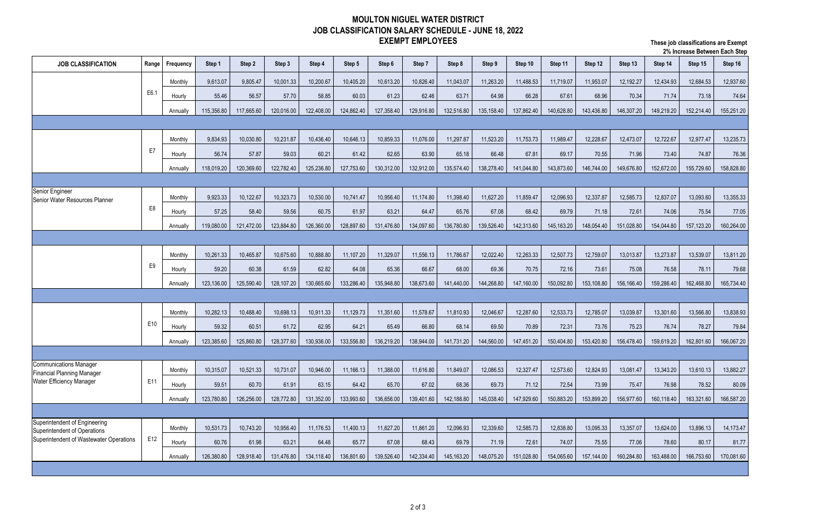**These job classifications are Exempt 2% Increase Between Each Step**

| <b>JOB CLASSIFICATION</b><br>Step 10<br>Step 12<br>Step 14<br>Step 15<br>Step 2<br>Step 3<br>Step 5<br>Step 7<br>Step 8<br>Step 9<br>Step 11<br>Step 13<br><b>Range</b><br>Step 1<br>Step 4<br>Step 6<br>Frequency<br>9,613.07<br>9,805.47<br>10,001.33<br>10,200.67<br>10,405.20<br>10,613.20<br>10,826.40<br>11,043.07<br>11,263.20<br>11,488.53<br>11,953.07<br>12,192.27<br>12,434.93<br>12,684.53<br>Monthly<br>11,719.07<br>E6.1<br>55.46<br>56.57<br>57.70<br>58.85<br>60.03<br>61.23<br>62.46<br>63.71<br>64.98<br>66.28<br>68.96<br>70.34<br>71.74<br>73.18<br>Hourly<br>67.61<br>115,356.80<br>122,408.00<br>124,862.40<br>135,158.40<br>137,862.40<br>140,628.80<br>143,436.80<br>149,219.20<br>152,214.40<br>117,665.60<br>120,016.00<br>127,358.40<br>129,916.80<br>132,516.80<br>146,307.20<br>Annually<br>11,297.87<br>12,473.07<br>12,722.67<br>12,977.47<br>Monthly<br>9,834.93<br>10,030.80<br>10,231.87<br>10,436.40<br>10,646.13<br>10,859.33<br>11,076.00<br>11,523.20<br>11,753.73<br>11,989.47<br>12,228.67 | Step 16<br>12,937.60<br>74.64<br>155,251.20<br>13,235.73 |
|------------------------------------------------------------------------------------------------------------------------------------------------------------------------------------------------------------------------------------------------------------------------------------------------------------------------------------------------------------------------------------------------------------------------------------------------------------------------------------------------------------------------------------------------------------------------------------------------------------------------------------------------------------------------------------------------------------------------------------------------------------------------------------------------------------------------------------------------------------------------------------------------------------------------------------------------------------------------------------------------------------------------------------|----------------------------------------------------------|
|                                                                                                                                                                                                                                                                                                                                                                                                                                                                                                                                                                                                                                                                                                                                                                                                                                                                                                                                                                                                                                    |                                                          |
|                                                                                                                                                                                                                                                                                                                                                                                                                                                                                                                                                                                                                                                                                                                                                                                                                                                                                                                                                                                                                                    |                                                          |
|                                                                                                                                                                                                                                                                                                                                                                                                                                                                                                                                                                                                                                                                                                                                                                                                                                                                                                                                                                                                                                    |                                                          |
|                                                                                                                                                                                                                                                                                                                                                                                                                                                                                                                                                                                                                                                                                                                                                                                                                                                                                                                                                                                                                                    |                                                          |
|                                                                                                                                                                                                                                                                                                                                                                                                                                                                                                                                                                                                                                                                                                                                                                                                                                                                                                                                                                                                                                    |                                                          |
|                                                                                                                                                                                                                                                                                                                                                                                                                                                                                                                                                                                                                                                                                                                                                                                                                                                                                                                                                                                                                                    |                                                          |
| E7<br>56.74<br>57.87<br>59.03<br>60.21<br>61.42<br>62.65<br>63.90<br>65.18<br>66.48<br>67.81<br>69.17<br>70.55<br>71.96<br>73.40<br>74.87<br>Hourly                                                                                                                                                                                                                                                                                                                                                                                                                                                                                                                                                                                                                                                                                                                                                                                                                                                                                | 76.36                                                    |
| 141,044.80<br>155,729.60<br>118,019.20<br>120,369.60<br>122,782.40<br>125,236.80<br>127,753.60<br>130,312.00<br>132,912.00<br>135,574.40<br>138,278.40<br>143,873.60<br>146,744.00<br>149,676.80<br>152,672.00<br>Annually                                                                                                                                                                                                                                                                                                                                                                                                                                                                                                                                                                                                                                                                                                                                                                                                         | 158,828.80                                               |
|                                                                                                                                                                                                                                                                                                                                                                                                                                                                                                                                                                                                                                                                                                                                                                                                                                                                                                                                                                                                                                    |                                                          |
| Senior Engineer<br>Monthly<br>9,923.33<br>10,122.67<br>10,323.73<br>10,530.00<br>10,741.47<br>10,956.40<br>11,174.80<br>11,398.40<br>11,627.20<br>11,859.47<br>12,096.93<br>12,337.87<br>12,585.73<br>12,837.07<br>13,093.60                                                                                                                                                                                                                                                                                                                                                                                                                                                                                                                                                                                                                                                                                                                                                                                                       | 13,355.33                                                |
| Senior Water Resources Planner<br>E8<br>57.25<br>58.40<br>60.75<br>61.97<br>68.42<br>75.54<br>59.56<br>63.21<br>64.47<br>65.76<br>67.08<br>69.79<br>71.18<br>72.61<br>74.06<br>Hourly                                                                                                                                                                                                                                                                                                                                                                                                                                                                                                                                                                                                                                                                                                                                                                                                                                              | 77.05                                                    |
| 123,884.80<br>134,097.60<br>136,780.80<br>139,526.40<br>151,028.80<br>119,080.00<br>121,472.00<br>126,360.00<br>128,897.60<br>131,476.80<br>142,313.60<br>145,163.20<br>148,054.40<br>154,044.80<br>157,123.20<br>Annually                                                                                                                                                                                                                                                                                                                                                                                                                                                                                                                                                                                                                                                                                                                                                                                                         | 160,264.00                                               |
|                                                                                                                                                                                                                                                                                                                                                                                                                                                                                                                                                                                                                                                                                                                                                                                                                                                                                                                                                                                                                                    |                                                          |
| 10,888.80<br>11,107.20<br>12,022.40<br>13,273.87<br>Monthly<br>10,261.33<br>10,465.87<br>10,675.60<br>11,329.07<br>11,556.13<br>11,786.67<br>12,263.33<br>12,507.73<br>12,759.07<br>13,013.87<br>13,539.07                                                                                                                                                                                                                                                                                                                                                                                                                                                                                                                                                                                                                                                                                                                                                                                                                         | 13,811.20                                                |
| E9<br>59.20<br>62.82<br>64.08<br>60.38<br>61.59<br>65.36<br>66.67<br>68.00<br>69.36<br>70.75<br>72.16<br>73.61<br>75.08<br>76.58<br>78.11<br>Hourly                                                                                                                                                                                                                                                                                                                                                                                                                                                                                                                                                                                                                                                                                                                                                                                                                                                                                | 79.68                                                    |
| 123,136.00<br>125,590.40<br>130,665.60<br>133,286.40<br>138,673.60<br>141,440.00<br>144,268.80<br>147,160.00<br>150,092.80<br>153,108.80<br>159,286.40<br>162,468.80<br>128,107.20<br>135,948.80<br>156,166.40<br>Annually                                                                                                                                                                                                                                                                                                                                                                                                                                                                                                                                                                                                                                                                                                                                                                                                         | 165,734.40                                               |
|                                                                                                                                                                                                                                                                                                                                                                                                                                                                                                                                                                                                                                                                                                                                                                                                                                                                                                                                                                                                                                    |                                                          |
| 12,046.67<br>13,039.87<br>13,566.80<br>Monthly<br>10,282.13<br>10,488.40<br>10,698.13<br>10,911.33<br>11,129.73<br>11,351.60<br>11,578.67<br>11,810.93<br>12,287.60<br>12,533.73<br>12,785.07<br>13,301.60                                                                                                                                                                                                                                                                                                                                                                                                                                                                                                                                                                                                                                                                                                                                                                                                                         | 13,838.93                                                |
| E10<br>59.32<br>61.72<br>62.95<br>64.21<br>65.49<br>66.80<br>68.14<br>69.50<br>70.89<br>73.76<br>75.23<br>76.74<br>78.27<br>Hourly<br>60.51<br>72.31                                                                                                                                                                                                                                                                                                                                                                                                                                                                                                                                                                                                                                                                                                                                                                                                                                                                               | 79.84                                                    |
| 123,385.60<br>125,860.80<br>128,377.60<br>130,936.00<br>133,556.80<br>136,219.20<br>138,944.00<br>141,731.20<br>144,560.00<br>147,451.20<br>150,404.80<br>153,420.80<br>156,478.40<br>159,619.20<br>162,801.60<br>Annually                                                                                                                                                                                                                                                                                                                                                                                                                                                                                                                                                                                                                                                                                                                                                                                                         | 166,067.20                                               |
|                                                                                                                                                                                                                                                                                                                                                                                                                                                                                                                                                                                                                                                                                                                                                                                                                                                                                                                                                                                                                                    |                                                          |
| <b>Communications Manager</b><br>10,521.33<br>10,946.00<br>11,166.13<br>11,388.00<br>11,849.07<br>12,086.53<br>12,327.47<br>12,573.60<br>12,824.93<br>13,081.47<br>13,343.20<br>13,610.13<br>Monthly<br>10,315.07<br>10,731.07<br>11,616.80                                                                                                                                                                                                                                                                                                                                                                                                                                                                                                                                                                                                                                                                                                                                                                                        | 13,882.27                                                |
| <b>Financial Planning Manager</b><br>Water Efficiency Manager<br>E11<br>59.51<br>60.70<br>61.91<br>63.15<br>64.42<br>65.70<br>67.02<br>68.36<br>69.73<br>71.12<br>72.54<br>73.99<br>75.47<br>76.98<br>78.52<br>Hourly                                                                                                                                                                                                                                                                                                                                                                                                                                                                                                                                                                                                                                                                                                                                                                                                              | 80.09                                                    |
| 136,656.00<br>142,188.80<br>147,929.60<br>150,883.20<br>123,780.80<br>126,256.00<br>128,772.80<br>131,352.00<br>133,993.60<br>139,401.60<br>145,038.40<br>153,899.20<br>156,977.60<br>160,118.40<br>163,321.60<br>Annually                                                                                                                                                                                                                                                                                                                                                                                                                                                                                                                                                                                                                                                                                                                                                                                                         | 166,587.20                                               |
|                                                                                                                                                                                                                                                                                                                                                                                                                                                                                                                                                                                                                                                                                                                                                                                                                                                                                                                                                                                                                                    |                                                          |
| Superintendent of Engineering<br>Monthly                                                                                                                                                                                                                                                                                                                                                                                                                                                                                                                                                                                                                                                                                                                                                                                                                                                                                                                                                                                           |                                                          |
| 10,531.73<br>10,956.40<br>11,176.53<br>11,400.13<br>11,627.20<br>11,861.20<br>12,096.93<br>12,339.60<br>12,585.73<br>12,838.80<br>13,095.33<br>13,357.07<br>13,624.00<br>13,896.13<br>10,743.20<br>Superintendent of Operations<br>Superintendent of Wastewater Operations<br>E12<br>60.76<br>67.08<br>68.43                                                                                                                                                                                                                                                                                                                                                                                                                                                                                                                                                                                                                                                                                                                       | 14,173.47                                                |
| 63.21<br>64.48<br>65.77<br>69.79<br>71.19<br>77.06<br>80.17<br>Hourly<br>61.98<br>72.61<br>74.07<br>75.55<br>78.60                                                                                                                                                                                                                                                                                                                                                                                                                                                                                                                                                                                                                                                                                                                                                                                                                                                                                                                 | 81.77                                                    |
| 126,380.80<br>128,918.40<br>134,118.40<br>136,801.60<br>139,526.40<br>142,334.40<br>145,163.20<br>148,075.20<br>151,028.80<br>154,065.60<br>157,144.00<br>160,284.80<br>163,488.00<br>166,753.60<br>131,476.80<br>Annually                                                                                                                                                                                                                                                                                                                                                                                                                                                                                                                                                                                                                                                                                                                                                                                                         | 170,081.60                                               |